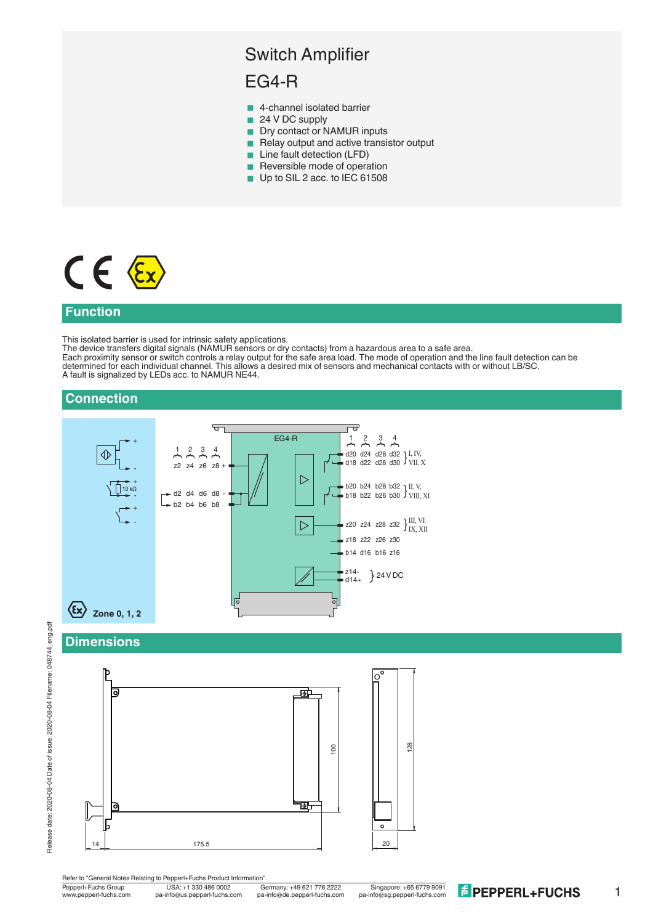# Switch Amplifier

# EG4-R

- 4-channel isolated barrier
- 24 V DC supply
- **Dry contact or NAMUR inputs**
- Relay output and active transistor output
- **Line fault detection (LFD)**
- **Reversible mode of operation**
- Up to SIL 2 acc. to IEC 61508

# $C \in \mathcal{E}$

### **Function**

This isolated barrier is used for intrinsic safety applications.

The device transfers digital signals (NAMUR sensors or dry contacts) from a hazardous area to a safe area. Each proximity sensor or switch controls a relay output for the safe area load. The mode of operation and the line fault detection can be determined for each individual channel. This allows a desired mix of sensors and mechanical contacts with or without LB/SC. A fault is signalized by LEDs acc. to NAMUR NE44.

# **Connection**



#### **Dimensions**



Pepperl+Fuchs Group USA: +1 330 486 0002 Germany: +49 621 776 2222 Singapore: +65 6779 9091<br>www.pepperl-fuchs.com pa-info@us.pepperl-fuchs.com pa-info@de.pepperl-fuchs.com pa-info@sg.pepperl-fuchs.com

1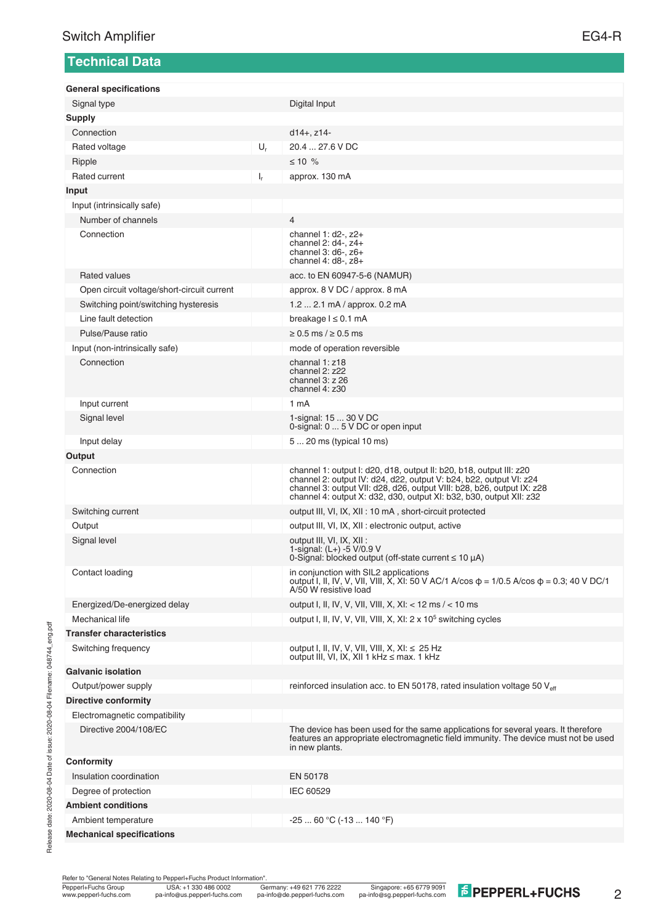# **Technical Data**

**General specifications**

| Signal type                                |       | Digital Input                                                                                                                                                                                                                                                                              |
|--------------------------------------------|-------|--------------------------------------------------------------------------------------------------------------------------------------------------------------------------------------------------------------------------------------------------------------------------------------------|
| <b>Supply</b>                              |       |                                                                                                                                                                                                                                                                                            |
| Connection                                 |       | $d14+$ , $z14-$                                                                                                                                                                                                                                                                            |
| Rated voltage                              | $U_r$ | 20.4  27.6 V DC                                                                                                                                                                                                                                                                            |
| Ripple                                     |       | $≤ 10 %$                                                                                                                                                                                                                                                                                   |
| Rated current                              | $I_r$ | approx. 130 mA                                                                                                                                                                                                                                                                             |
| Input                                      |       |                                                                                                                                                                                                                                                                                            |
| Input (intrinsically safe)                 |       |                                                                                                                                                                                                                                                                                            |
| Number of channels                         |       | $\overline{4}$                                                                                                                                                                                                                                                                             |
| Connection                                 |       | channel 1: $d2$ -, $z2$ +<br>channel 2: d4-, z4+<br>channel $3: d6$ -, $z6+$<br>channel $4: d8$ -, $z8$ +                                                                                                                                                                                  |
| <b>Rated values</b>                        |       | acc. to EN 60947-5-6 (NAMUR)                                                                                                                                                                                                                                                               |
| Open circuit voltage/short-circuit current |       | approx. 8 V DC / approx. 8 mA                                                                                                                                                                                                                                                              |
| Switching point/switching hysteresis       |       | 1.2  2.1 mA / approx. 0.2 mA                                                                                                                                                                                                                                                               |
| Line fault detection                       |       | breakage $l \leq 0.1$ mA                                                                                                                                                                                                                                                                   |
| Pulse/Pause ratio                          |       | $\geq$ 0.5 ms / $\geq$ 0.5 ms                                                                                                                                                                                                                                                              |
| Input (non-intrinsically safe)             |       | mode of operation reversible                                                                                                                                                                                                                                                               |
| Connection                                 |       | channal 1: z18<br>channel 2: z22<br>channel $3: z$ 26<br>channel 4: z30                                                                                                                                                                                                                    |
| Input current                              |       | 1 <sub>m</sub> A                                                                                                                                                                                                                                                                           |
| Signal level                               |       | 1-signal: 15  30 V DC<br>0-signal: 0  5 V DC or open input                                                                                                                                                                                                                                 |
| Input delay                                |       | 5  20 ms (typical 10 ms)                                                                                                                                                                                                                                                                   |
| Output                                     |       |                                                                                                                                                                                                                                                                                            |
| Connection                                 |       | channel 1: output I: d20, d18, output II: b20, b18, output III: z20<br>channel 2: output IV: d24, d22, output V: b24, b22, output VI: z24<br>channel 3: output VII: d28, d26, output VIII: b28, b26, output IX: z28<br>channel 4: output X: d32, d30, output XI: b32, b30, output XII: z32 |
| Switching current                          |       | output III, VI, IX, XII : 10 mA, short-circuit protected                                                                                                                                                                                                                                   |
| Output                                     |       | output III, VI, IX, XII : electronic output, active                                                                                                                                                                                                                                        |
| Signal level                               |       | output III, VI, IX, XII :<br>1-signal: (L+) -5 V/0.9 V<br>0-Signal: blocked output (off-state current $\leq 10 \mu$ A)                                                                                                                                                                     |
| Contact loading                            |       | in conjunction with SIL2 applications<br>output I, II, IV, V, VII, VIII, X, XI: 50 V AC/1 A/cos $\phi$ = 1/0.5 A/cos $\phi$ = 0.3; 40 V DC/1<br>A/50 W resistive load                                                                                                                      |
| Energized/De-energized delay               |       | output I, II, IV, V, VII, VIII, X, XI: < 12 ms / < 10 ms                                                                                                                                                                                                                                   |
| Mechanical life                            |       | output I, II, IV, V, VII, VIII, X, XI: 2 x 10 <sup>5</sup> switching cycles                                                                                                                                                                                                                |
| <b>Transfer characteristics</b>            |       |                                                                                                                                                                                                                                                                                            |
| Switching frequency                        |       | output I, II, IV, V, VII, VIII, X, XI: ≤ 25 Hz<br>output III, VI, IX, XII 1 kHz ≤ max. 1 kHz                                                                                                                                                                                               |
| <b>Galvanic isolation</b>                  |       |                                                                                                                                                                                                                                                                                            |
| Output/power supply                        |       | reinforced insulation acc. to EN 50178, rated insulation voltage 50 V <sub>eff</sub>                                                                                                                                                                                                       |
| <b>Directive conformity</b>                |       |                                                                                                                                                                                                                                                                                            |
| Electromagnetic compatibility              |       |                                                                                                                                                                                                                                                                                            |
| Directive 2004/108/EC                      |       | The device has been used for the same applications for several years. It therefore<br>features an appropriate electromagnetic field immunity. The device must not be used<br>in new plants.                                                                                                |
| Conformity                                 |       |                                                                                                                                                                                                                                                                                            |
| Insulation coordination                    |       | EN 50178                                                                                                                                                                                                                                                                                   |
| Degree of protection                       |       | IEC 60529                                                                                                                                                                                                                                                                                  |
| <b>Ambient conditions</b>                  |       |                                                                                                                                                                                                                                                                                            |
| Ambient temperature                        |       | $-2560 °C (-13140 °F)$                                                                                                                                                                                                                                                                     |
| <b>Mechanical specifications</b>           |       |                                                                                                                                                                                                                                                                                            |

Refer to "General Notes Relating to Pepperl+Fuchs Product Information".

Release date: 2020-08-04 Date of issue: 2020-08-04 Filename: 048744\_eng.pdf

Release date: 2020-08-04 Date of issue: 2020-08-04 Filename: 048744\_eng.pdf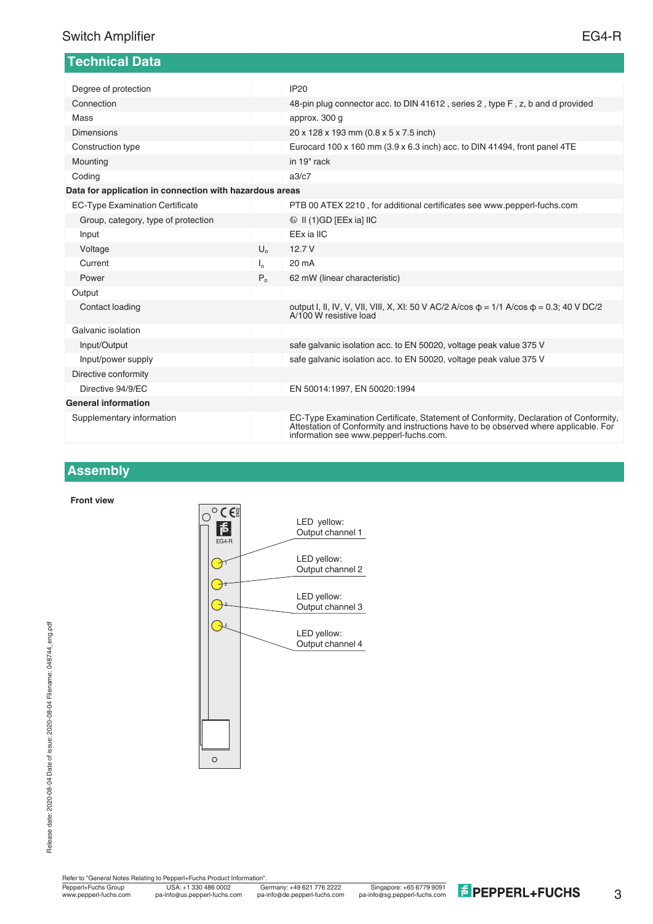| <b>Technical Data</b>                                   |                       |                                                                                                                                                                                                                        |  |  |
|---------------------------------------------------------|-----------------------|------------------------------------------------------------------------------------------------------------------------------------------------------------------------------------------------------------------------|--|--|
|                                                         |                       |                                                                                                                                                                                                                        |  |  |
| Degree of protection                                    |                       | <b>IP20</b>                                                                                                                                                                                                            |  |  |
| Connection                                              |                       | 48-pin plug connector acc. to DIN 41612, series 2, type F, z, b and d provided                                                                                                                                         |  |  |
| Mass                                                    |                       | approx. 300 g                                                                                                                                                                                                          |  |  |
| <b>Dimensions</b>                                       |                       | 20 x 128 x 193 mm (0.8 x 5 x 7.5 inch)                                                                                                                                                                                 |  |  |
| Construction type                                       |                       | Eurocard 100 x 160 mm (3.9 x 6.3 inch) acc. to DIN 41494, front panel 4TE                                                                                                                                              |  |  |
| Mounting                                                |                       | in 19" rack                                                                                                                                                                                                            |  |  |
| Coding                                                  |                       | a3/c7                                                                                                                                                                                                                  |  |  |
| Data for application in connection with hazardous areas |                       |                                                                                                                                                                                                                        |  |  |
| <b>EC-Type Examination Certificate</b>                  |                       | PTB 00 ATEX 2210, for additional certificates see www.pepperl-fuchs.com                                                                                                                                                |  |  |
| Group, category, type of protection                     |                       | $\circledR$ II (1)GD [EEx ia] IIC                                                                                                                                                                                      |  |  |
| Input                                                   |                       | EEx ia IIC                                                                                                                                                                                                             |  |  |
| Voltage                                                 | $U_{0}$               | 12.7V                                                                                                                                                                                                                  |  |  |
| Current                                                 | $\mathsf{I}_{\alpha}$ | 20 mA                                                                                                                                                                                                                  |  |  |
| Power                                                   | $P_{0}$               | 62 mW (linear characteristic)                                                                                                                                                                                          |  |  |
| Output                                                  |                       |                                                                                                                                                                                                                        |  |  |
| Contact loading                                         |                       | output I, II, IV, V, VII, VIII, X, XI: 50 V AC/2 A/cos $\phi = 1/1$ A/cos $\phi = 0.3$ ; 40 V DC/2<br>A/100 W resistive load                                                                                           |  |  |
| Galvanic isolation                                      |                       |                                                                                                                                                                                                                        |  |  |
| Input/Output                                            |                       | safe galvanic isolation acc. to EN 50020, voltage peak value 375 V                                                                                                                                                     |  |  |
| Input/power supply                                      |                       | safe galvanic isolation acc. to EN 50020, voltage peak value 375 V                                                                                                                                                     |  |  |
| Directive conformity                                    |                       |                                                                                                                                                                                                                        |  |  |
| Directive 94/9/EC                                       |                       | EN 50014:1997, EN 50020:1994                                                                                                                                                                                           |  |  |
| <b>General information</b>                              |                       |                                                                                                                                                                                                                        |  |  |
| Supplementary information                               |                       | EC-Type Examination Certificate, Statement of Conformity, Declaration of Conformity,<br>Attestation of Conformity and instructions have to be observed where applicable. For<br>information see www.pepperl-fuchs.com. |  |  |

## **Assembly**

**Front view**



Refer to "General Notes Relating to Pepperl+Fuchs Product Information"

3